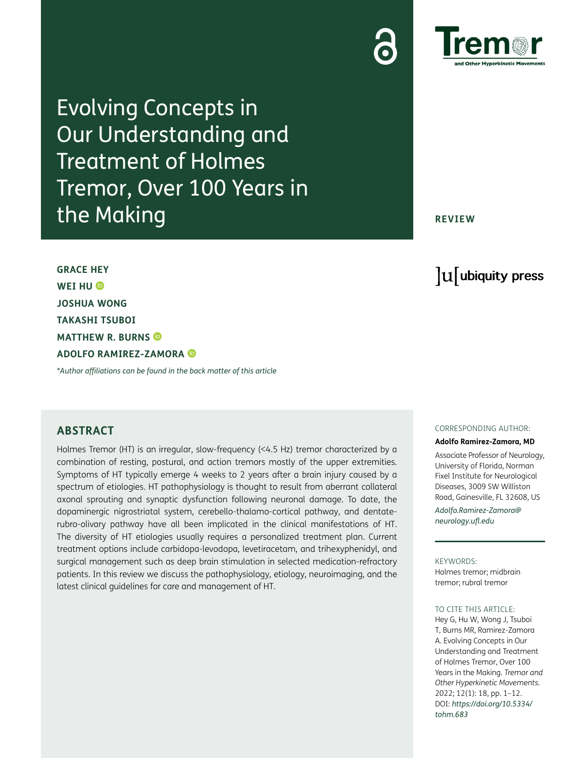

Evolving Concepts in Our Understanding and Treatment of Holmes Tremor, Over 100 Years in the Making

### **REVIEW**

lu ubiquity press

**GRACE HEY WEI HU JOSHUA WONG TAKASHI TSUBOI MATTHEW R. BURNS ADOLFO RAMIREZ-ZAMORA**

*\*Author affiliations can be found in the back matter of this article*

## **ABSTRACT**

Holmes Tremor (HT) is an irregular, slow-frequency (<4.5 Hz) tremor characterized by a combination of resting, postural, and action tremors mostly of the upper extremities. Symptoms of HT typically emerge 4 weeks to 2 years after a brain injury caused by a spectrum of etiologies. HT pathophysiology is thought to result from aberrant collateral axonal sprouting and synaptic dysfunction following neuronal damage. To date, the dopaminergic nigrostriatal system, cerebello-thalamo-cortical pathway, and dentaterubro-olivary pathway have all been implicated in the clinical manifestations of HT. The diversity of HT etiologies usually requires a personalized treatment plan. Current treatment options include carbidopa-levodopa, levetiracetam, and trihexyphenidyl, and surgical management such as deep brain stimulation in selected medication-refractory patients. In this review we discuss the pathophysiology, etiology, neuroimaging, and the latest clinical guidelines for care and management of HT.

#### CORRESPONDING AUTHOR:

#### **Adolfo Ramirez-Zamora, MD**

Associate Professor of Neurology, University of Florida, Norman Fixel Institute for Neurological Diseases, 3009 SW Williston Road, Gainesville, FL 32608, US *[Adolfo.Ramirez-Zamora@](mailto:Adolfo.Ramirez-Zamora@neurology.ufl.edu) [neurology.ufl.edu](mailto:Adolfo.Ramirez-Zamora@neurology.ufl.edu)*

#### KEYWORDS:

Holmes tremor; midbrain tremor; rubral tremor

#### TO CITE THIS ARTICLE:

Hey G, Hu W, Wong J, Tsuboi T, Burns MR, Ramirez-Zamora A. Evolving Concepts in Our Understanding and Treatment of Holmes Tremor, Over 100 Years in the Making. *Tremor and Other Hyperkinetic Movements.* 2022; 12(1): 18, pp. 1–12. DOI: *[https://doi.org/10.5334/](https://doi.org/10.5334/tohm.683) [tohm.683](https://doi.org/10.5334/tohm.683)*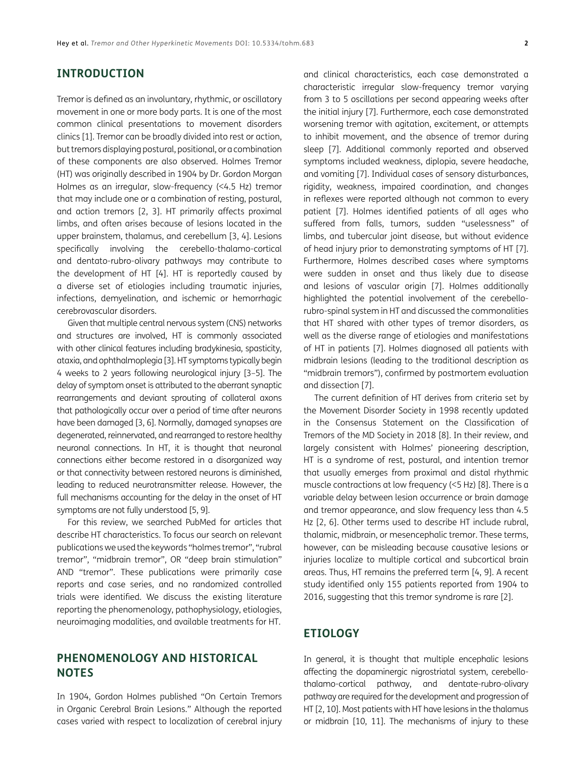## **INTRODUCTION**

Tremor is defined as an involuntary, rhythmic, or oscillatory movement in one or more body parts. It is one of the most common clinical presentations to movement disorders clinics [[1\]](#page-9-0). Tremor can be broadly divided into rest or action, but tremors displaying postural, positional, or a combination of these components are also observed. Holmes Tremor (HT) was originally described in 1904 by Dr. Gordon Morgan Holmes as an irregular, slow-frequency (<4.5 Hz) tremor that may include one or a combination of resting, postural, and action tremors [\[2,](#page-9-1) [3](#page-9-2)]. HT primarily affects proximal limbs, and often arises because of lesions located in the upper brainstem, thalamus, and cerebellum [\[3,](#page-9-2) 4]. Lesions specifically involving the cerebello-thalamo-cortical and dentato-rubro-olivary pathways may contribute to the development of HT [4]. HT is reportedly caused by a diverse set of etiologies including traumatic injuries, infections, demyelination, and ischemic or hemorrhagic cerebrovascular disorders.

Given that multiple central nervous system (CNS) networks and structures are involved, HT is commonly associated with other clinical features including bradykinesia, spasticity, ataxia, and ophthalmoplegia [\[3](#page-9-2)]. HT symptoms typically begin 4 weeks to 2 years following neurological injury [[3–](#page-9-2)5]. The delay of symptom onset is attributed to the aberrant synaptic rearrangements and deviant sprouting of collateral axons that pathologically occur over a period of time after neurons have been damaged [\[3](#page-9-2), 6]. Normally, damaged synapses are degenerated, reinnervated, and rearranged to restore healthy neuronal connections. In HT, it is thought that neuronal connections either become restored in a disorganized way or that connectivity between restored neurons is diminished, leading to reduced neurotransmitter release. However, the full mechanisms accounting for the delay in the onset of HT symptoms are not fully understood [5, 9].

For this review, we searched PubMed for articles that describe HT characteristics. To focus our search on relevant publications we used the keywords "holmes tremor", "rubral tremor", "midbrain tremor", OR "deep brain stimulation" AND "tremor". These publications were primarily case reports and case series, and no randomized controlled trials were identified. We discuss the existing literature reporting the phenomenology, pathophysiology, etiologies, neuroimaging modalities, and available treatments for HT.

# **PHENOMENOLOGY AND HISTORICAL NOTES**

In 1904, Gordon Holmes published "On Certain Tremors in Organic Cerebral Brain Lesions." Although the reported cases varied with respect to localization of cerebral injury and clinical characteristics, each case demonstrated a characteristic irregular slow-frequency tremor varying from 3 to 5 oscillations per second appearing weeks after the initial injury [7]. Furthermore, each case demonstrated worsening tremor with agitation, excitement, or attempts to inhibit movement, and the absence of tremor during sleep [7]. Additional commonly reported and observed symptoms included weakness, diplopia, severe headache, and vomiting [7]. Individual cases of sensory disturbances, rigidity, weakness, impaired coordination, and changes in reflexes were reported although not common to every patient [7]. Holmes identified patients of all ages who suffered from falls, tumors, sudden "uselessness" of limbs, and tubercular joint disease, but without evidence of head injury prior to demonstrating symptoms of HT [7]. Furthermore, Holmes described cases where symptoms were sudden in onset and thus likely due to disease and lesions of vascular origin [7]. Holmes additionally highlighted the potential involvement of the cerebellorubro-spinal system in HT and discussed the commonalities that HT shared with other types of tremor disorders, as well as the diverse range of etiologies and manifestations of HT in patients [7]. Holmes diagnosed all patients with midbrain lesions (leading to the traditional description as "midbrain tremors"), confirmed by postmortem evaluation and dissection [7].

The current definition of HT derives from criteria set by the Movement Disorder Society in 1998 recently updated in the Consensus Statement on the Classification of Tremors of the MD Society in 2018 [8]. In their review, and largely consistent with Holmes' pioneering description, HT is a syndrome of rest, postural, and intention tremor that usually emerges from proximal and distal rhythmic muscle contractions at low frequency (<5 Hz) [8]. There is a variable delay between lesion occurrence or brain damage and tremor appearance, and slow frequency less than 4.5 Hz [\[2,](#page-9-1) 6]. Other terms used to describe HT include rubral, thalamic, midbrain, or mesencephalic tremor. These terms, however, can be misleading because causative lesions or injuries localize to multiple cortical and subcortical brain areas. Thus, HT remains the preferred term [4, 9]. A recent study identified only 155 patients reported from 1904 to 2016, suggesting that this tremor syndrome is rare [\[2](#page-9-1)].

# **ETIOLOGY**

In general, it is thought that multiple encephalic lesions affecting the dopaminergic nigrostriatal system, cerebellothalamo-cortical pathway, and dentate-rubro-olivary pathway are required for the development and progression of HT [\[2](#page-9-1), [10](#page-9-3)]. Most patients with HT have lesions in the thalamus or midbrain [\[10,](#page-9-3) [11\]](#page-9-4). The mechanisms of injury to these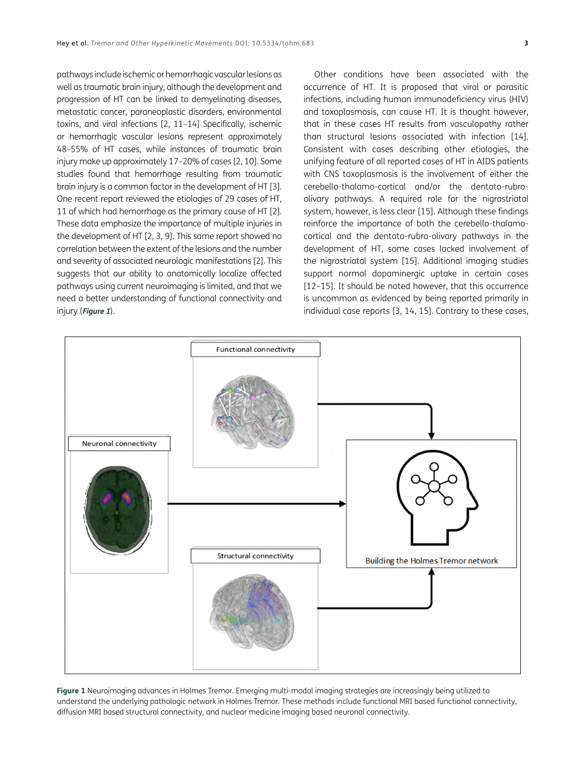pathways include ischemic or hemorrhagic vascular lesions as well as traumatic brain injury, although the development and progression of HT can be linked to demyelinating diseases, metastatic cancer, paraneoplastic disorders, environmental toxins, and viral infections [[2,](#page-9-1) [11](#page-9-4)–[14\]](#page-9-5) Specifically, ischemic or hemorrhagic vascular lesions represent approximately 48–55% of HT cases, while instances of traumatic brain injury make up approximately 17–20% of cases [\[2,](#page-9-1) [10](#page-9-3)]. Some studies found that hemorrhage resulting from traumatic brain injury is a common factor in the development of HT [[3\]](#page-9-2). One recent report reviewed the etiologies of 29 cases of HT, 11 of which had hemorrhage as the primary cause of HT [[2\]](#page-9-1). These data emphasize the importance of multiple injuries in the development of HT [[2,](#page-9-1) [3](#page-9-2), 9]. This same report showed no correlation between the extent of the lesions and the number and severity of associated neurologic manifestations [\[2](#page-9-1)]. This suggests that our ability to anatomically localize affected pathways using current neuroimaging is limited, and that we need a better understanding of functional connectivity and injury (**Figure 1**).

Other conditions have been associated with the occurrence of HT. It is proposed that viral or parasitic infections, including human immunodeficiency virus (HIV) and toxoplasmosis, can cause HT. It is thought however, that in these cases HT results from vasculopathy rather than structural lesions associated with infection [[14](#page-9-5)]. Consistent with cases describing other etiologies, the unifying feature of all reported cases of HT in AIDS patients with CNS toxoplasmosis is the involvement of either the cerebello-thalamo-cortical and/or the dentato-rubroolivary pathways. A required role for the nigrostriatal system, however, is less clear [[15\]](#page-9-6). Although these findings reinforce the importance of both the cerebello-thalamocortical and the dentato-rubro-olivary pathways in the development of HT, some cases lacked involvement of the nigrostriatal system [[15](#page-9-6)]. Additional imaging studies support normal dopaminergic uptake in certain cases [12–[15](#page-9-6)]. It should be noted however, that this occurrence is uncommon as evidenced by being reported primarily in individual case reports [[3](#page-9-2), [14](#page-9-5), [15](#page-9-6)]. Contrary to these cases,



**Figure 1** Neuroimaging advances in Holmes Tremor. Emerging multi-modal imaging strategies are increasingly being utilized to understand the underlying pathologic network in Holmes Tremor. These methods include functional MRI based functional connectivity, diffusion MRI based structural connectivity, and nuclear medicine imaging based neuronal connectivity.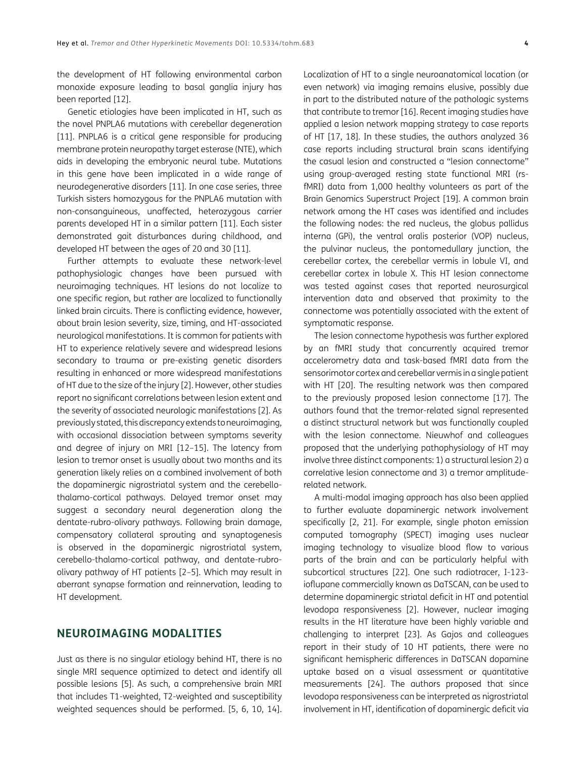the development of HT following environmental carbon monoxide exposure leading to basal ganglia injury has been reported [12].

Genetic etiologies have been implicated in HT, such as the novel PNPLA6 mutations with cerebellar degeneration [\[11\]](#page-9-4). PNPLA6 is a critical gene responsible for producing membrane protein neuropathy target esterase (NTE), which aids in developing the embryonic neural tube. Mutations in this gene have been implicated in a wide range of neurodegenerative disorders [[11\]](#page-9-4). In one case series, three Turkish sisters homozygous for the PNPLA6 mutation with non-consanguineous, unaffected, heterozygous carrier parents developed HT in a similar pattern [\[11\]](#page-9-4). Each sister demonstrated gait disturbances during childhood, and developed HT between the ages of 20 and 30 [[11](#page-9-4)].

Further attempts to evaluate these network-level pathophysiologic changes have been pursued with neuroimaging techniques. HT lesions do not localize to one specific region, but rather are localized to functionally linked brain circuits. There is conflicting evidence, however, about brain lesion severity, size, timing, and HT-associated neurological manifestations. It is common for patients with HT to experience relatively severe and widespread lesions secondary to trauma or pre-existing genetic disorders resulting in enhanced or more widespread manifestations of HT due to the size of the injury [[2](#page-9-1)]. However, other studies report no significant correlations between lesion extent and the severity of associated neurologic manifestations [[2\]](#page-9-1). As previously stated, this discrepancy extends to neuroimaging, with occasional dissociation between symptoms severity and degree of injury on MRI [12–[15\]](#page-9-6). The latency from lesion to tremor onset is usually about two months and its generation likely relies on a combined involvement of both the dopaminergic nigrostriatal system and the cerebellothalamo-cortical pathways. Delayed tremor onset may suggest a secondary neural degeneration along the dentate-rubro-olivary pathways. Following brain damage, compensatory collateral sprouting and synaptogenesis is observed in the dopaminergic nigrostriatal system, cerebello-thalamo-cortical pathway, and dentate-rubroolivary pathway of HT patients [[2](#page-9-1)–5]. Which may result in aberrant synapse formation and reinnervation, leading to HT development.

## **NEUROIMAGING MODALITIES**

Just as there is no singular etiology behind HT, there is no single MRI sequence optimized to detect and identify all possible lesions [5]. As such, a comprehensive brain MRI that includes T1-weighted, T2-weighted and susceptibility weighted sequences should be performed. [5, 6, [10,](#page-9-3) [14\]](#page-9-5). Localization of HT to a single neuroanatomical location (or even network) via imaging remains elusive, possibly due in part to the distributed nature of the pathologic systems that contribute to tremor [[16](#page-9-7)]. Recent imaging studies have applied a lesion network mapping strategy to case reports of HT [\[17,](#page-9-8) [18\]](#page-9-9). In these studies, the authors analyzed 36 case reports including structural brain scans identifying the casual lesion and constructed a "lesion connectome" using group-averaged resting state functional MRI (rsfMRI) data from 1,000 healthy volunteers as part of the Brain Genomics Superstruct Project [19]. A common brain network among the HT cases was identified and includes the following nodes: the red nucleus, the globus pallidus interna (GPi), the ventral oralis posterior (VOP) nucleus, the pulvinar nucleus, the pontomedullary junction, the cerebellar cortex, the cerebellar vermis in lobule VI, and cerebellar cortex in lobule X. This HT lesion connectome was tested against cases that reported neurosurgical intervention data and observed that proximity to the connectome was potentially associated with the extent of symptomatic response.

The lesion connectome hypothesis was further explored by an fMRI study that concurrently acquired tremor accelerometry data and task-based fMRI data from the sensorimotor cortex and cerebellar vermis in a single patient with HT [\[20](#page-10-0)]. The resulting network was then compared to the previously proposed lesion connectome [\[17\]](#page-9-8). The authors found that the tremor-related signal represented a distinct structural network but was functionally coupled with the lesion connectome. Nieuwhof and colleagues proposed that the underlying pathophysiology of HT may involve three distinct components: 1) a structural lesion 2) a correlative lesion connectome and 3) a tremor amplituderelated network.

A multi-modal imaging approach has also been applied to further evaluate dopaminergic network involvement specifically [[2](#page-9-1), 21]. For example, single photon emission computed tomography (SPECT) imaging uses nuclear imaging technology to visualize blood flow to various parts of the brain and can be particularly helpful with subcortical structures [\[22](#page-10-1)]. One such radiotracer, I-123 ioflupane commercially known as DaTSCAN, can be used to determine dopaminergic striatal deficit in HT and potential levodopa responsiveness [[2\]](#page-9-1). However, nuclear imaging results in the HT literature have been highly variable and challenging to interpret [[23\]](#page-10-2). As Gajos and colleagues report in their study of 10 HT patients, there were no significant hemispheric differences in DaTSCAN dopamine uptake based on a visual assessment or quantitative measurements [24]. The authors proposed that since levodopa responsiveness can be interpreted as nigrostriatal involvement in HT, identification of dopaminergic deficit via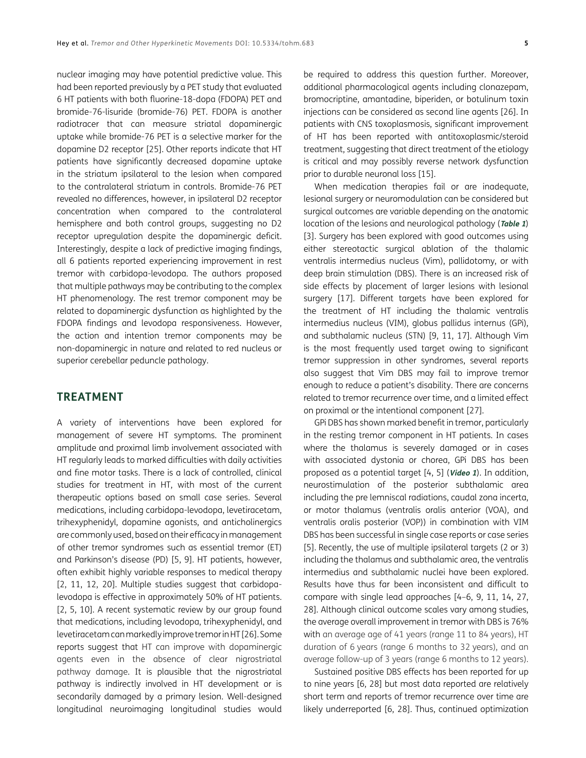nuclear imaging may have potential predictive value. This had been reported previously by a PET study that evaluated 6 HT patients with both fluorine-18-dopa (FDOPA) PET and bromide-76-lisuride (bromide-76) PET. FDOPA is another radiotracer that can measure striatal dopaminergic uptake while bromide-76 PET is a selective marker for the dopamine D2 receptor [25]. Other reports indicate that HT patients have significantly decreased dopamine uptake in the striatum ipsilateral to the lesion when compared to the contralateral striatum in controls. Bromide-76 PET revealed no differences, however, in ipsilateral D2 receptor concentration when compared to the contralateral hemisphere and both control groups, suggesting no D2 receptor upregulation despite the dopaminergic deficit. Interestingly, despite a lack of predictive imaging findings, all 6 patients reported experiencing improvement in rest tremor with carbidopa-levodopa. The authors proposed that multiple pathways may be contributing to the complex HT phenomenology. The rest tremor component may be related to dopaminergic dysfunction as highlighted by the FDOPA findings and levodopa responsiveness. However, the action and intention tremor components may be non-dopaminergic in nature and related to red nucleus or superior cerebellar peduncle pathology.

### **TREATMENT**

A variety of interventions have been explored for management of severe HT symptoms. The prominent amplitude and proximal limb involvement associated with HT regularly leads to marked difficulties with daily activities and fine motor tasks. There is a lack of controlled, clinical studies for treatment in HT, with most of the current therapeutic options based on small case series. Several medications, including carbidopa-levodopa, levetiracetam, trihexyphenidyl, dopamine agonists, and anticholinergics are commonly used, based on their efficacy in management of other tremor syndromes such as essential tremor (ET) and Parkinson's disease (PD) [5, 9]. HT patients, however, often exhibit highly variable responses to medical therapy [\[2,](#page-9-1) [11](#page-9-4), 12, [20](#page-10-0)]. Multiple studies suggest that carbidopalevodopa is effective in approximately 50% of HT patients. [\[2,](#page-9-1) 5, [10\]](#page-9-3). A recent systematic review by our group found that medications, including levodopa, trihexyphenidyl, and levetiracetam can markedly improve tremor in HT [\[26\]](#page-10-3). Some reports suggest that HT can improve with dopaminergic agents even in the absence of clear nigrostriatal pathway damage. It is plausible that the nigrostriatal pathway is indirectly involved in HT development or is secondarily damaged by a primary lesion. Well-designed longitudinal neuroimaging longitudinal studies would be required to address this question further. Moreover, additional pharmacological agents including clonazepam, bromocriptine, amantadine, biperiden, or botulinum toxin injections can be considered as second line agents [\[26](#page-10-3)]. In patients with CNS toxoplasmosis, significant improvement of HT has been reported with antitoxoplasmic/steroid treatment, suggesting that direct treatment of the etiology is critical and may possibly reverse network dysfunction prior to durable neuronal loss [\[15](#page-9-6)].

When medication therapies fail or are inadequate, lesional surgery or neuromodulation can be considered but surgical outcomes are variable depending on the anatomic location of the lesions and neurological pathology (**Table 1**) [\[3](#page-9-2)]. Surgery has been explored with good outcomes using either stereotactic surgical ablation of the thalamic ventralis intermedius nucleus (Vim), pallidotomy, or with deep brain stimulation (DBS). There is an increased risk of side effects by placement of larger lesions with lesional surgery [[17\]](#page-9-8). Different targets have been explored for the treatment of HT including the thalamic ventralis intermedius nucleus (VIM), globus pallidus internus (GPi), and subthalamic nucleus (STN) [9, [11](#page-9-4), [17](#page-9-8)]. Although Vim is the most frequently used target owing to significant tremor suppression in other syndromes, several reports also suggest that Vim DBS may fail to improve tremor enough to reduce a patient's disability. There are concerns related to tremor recurrence over time, and a limited effect on proximal or the intentional component [[27\]](#page-10-4).

GPi DBS has shown marked benefit in tremor, particularly in the resting tremor component in HT patients. In cases where the thalamus is severely damaged or in cases with associated dystonia or chorea, GPi DBS has been proposed as a potential target [4, 5] (**Video 1**). In addition, neurostimulation of the posterior subthalamic area including the pre lemniscal radiations, caudal zona incerta, or motor thalamus (ventralis oralis anterior (VOA), and ventralis oralis posterior (VOP)) in combination with VIM DBS has been successful in single case reports or case series [5]. Recently, the use of multiple ipsilateral targets (2 or 3) including the thalamus and subthalamic area, the ventralis intermedius and subthalamic nuclei have been explored. Results have thus far been inconsistent and difficult to compare with single lead approaches [4–6, 9, [11,](#page-9-4) [14,](#page-9-5) [27](#page-10-4), [28\]](#page-10-5). Although clinical outcome scales vary among studies, the average overall improvement in tremor with DBS is 76% with an average age of 41 years (range 11 to 84 years), HT duration of 6 years (range 6 months to 32 years), and an average follow-up of 3 years (range 6 months to 12 years).

Sustained positive DBS effects has been reported for up to nine years [6, [28](#page-10-5)] but most data reported are relatively short term and reports of tremor recurrence over time are likely underreported [6, [28\]](#page-10-5). Thus, continued optimization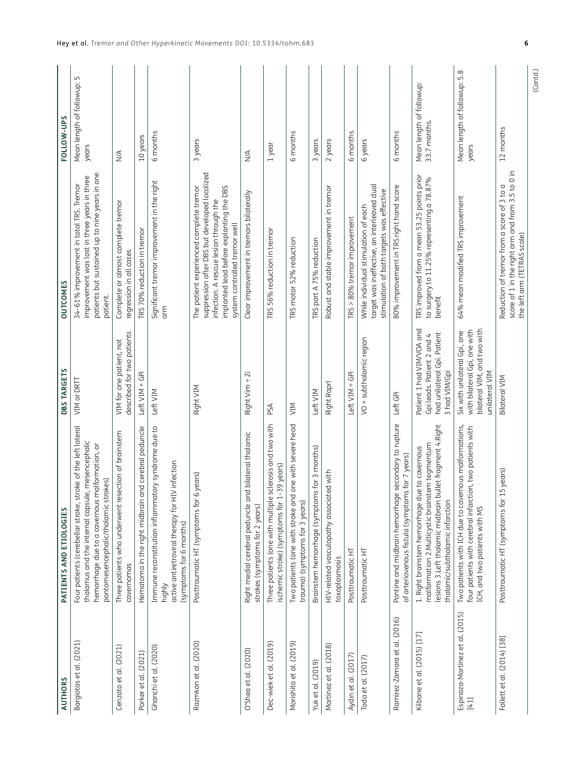| <b>AUTHORS</b>                          | PATIENTS AND ETIOLOGIES                                                                                                                                                                                    | <b>DBS TARGETS</b>                                                                                            | <b>OUTCOMES</b>                                                                                                                                                                                                 | FOLLOW-UPS                               |
|-----------------------------------------|------------------------------------------------------------------------------------------------------------------------------------------------------------------------------------------------------------|---------------------------------------------------------------------------------------------------------------|-----------------------------------------------------------------------------------------------------------------------------------------------------------------------------------------------------------------|------------------------------------------|
| Bargiotas et al. (2021)                 | Four patients (cerebellar stroke, stroke of the left lateral<br>thalamus and the internal capsule, mesencephalic<br>hemorrhage due to a cavernous malformation, or<br>pontomesencephalic/thalamic strokes) | VIM or DRTT                                                                                                   | patients but sustained up to nine years in one<br>improvement was lost in three years in three<br>34-61% improvement in total TRS. Tremor<br>patient.                                                           | Mean length of followup: 5<br>years      |
| Cenzato et al. (2021)                   | Three patients who underwent resection of brainstem<br>cavernomas                                                                                                                                          | described for two patients<br>VIM for one patient, not                                                        | Complete or almost complete tremor<br>regression in all cases                                                                                                                                                   | $\frac{4}{2}$                            |
| Parker et al. (2021)                    | Hematoma in the right midbrain and cerebral peduncle                                                                                                                                                       | Left VIM + GPi                                                                                                | <b>IRS 70% reduction in tremor</b>                                                                                                                                                                              | 10 years                                 |
| Ghanchi et al. (2020)                   | Immune reconstitution inflammatory syndrome due to<br>IV infection<br>active antiretroviral therapy for H<br>(symptoms for 6 months)<br>highly                                                             | Left VIM                                                                                                      | Significant tremor improvement in the right<br>$_{\rm arm}$                                                                                                                                                     | 6 months                                 |
| Razmkon et al. (2020)                   | 6 years)<br>Posttraumatic HT (symptoms for                                                                                                                                                                 | Right VIM                                                                                                     | suppression after DBS but developed localized<br>implanted lead before explanting the DBS<br>The patient experienced complete tremor<br>infection. A rescue lesion through the<br>system controlled tremor well | 3 years                                  |
| O'Shea et al. (2020)                    | Right medial cerebral peduncle and bilateral thalamic<br>strokes (symptoms for 2 years)                                                                                                                    | Right Vim + Zi                                                                                                | Clear improvement in tremors bilaterally                                                                                                                                                                        | $\stackrel{\triangle}{\geq}$             |
| Dec-wiek et al. (2019)                  | sclerosis and two with<br>ischemic stroke) (symptoms for 1-39 years)<br>Three patients (one with multiple                                                                                                  | PSA                                                                                                           | TRS 56% reduction in tremor                                                                                                                                                                                     | 1 year                                   |
| Morishita et al. (2019)                 | Two patients (one with stroke and one with severe head<br>trauma) (symptoms for 3 years)                                                                                                                   | NIN                                                                                                           | TRS motor 52% reduction                                                                                                                                                                                         | 6 months                                 |
| Yuk et al. (2019)                       | Brainstem hemorrhage (symptoms for 3 months)                                                                                                                                                               | Left VIM                                                                                                      | TRS part A 75% reduction                                                                                                                                                                                        | 3 years                                  |
| Martinez et al. (2018)                  | HIV-related vasculopathy associated with<br>toxoplasmosis                                                                                                                                                  | Right Raprl                                                                                                   | Robust and stable improvement in tremor                                                                                                                                                                         | 2 years                                  |
| Aydın et al. (2017)                     | Posttraumatic HT                                                                                                                                                                                           | Left VIM + GPi                                                                                                | TRS > 80% tremor improvement                                                                                                                                                                                    | 6 months                                 |
| Toda et al. (2017)                      | Posttraumatic HT                                                                                                                                                                                           | VO + subthalamic region                                                                                       | target was ineffective, an interleaved dual<br>stimulation of both targets was effective<br>While individual stimulation of each                                                                                | 6 years                                  |
| Ramirez-Zamora et al. (2016)            | Pontine and midbrain hemorrhage secondary to rupture<br>of arteriovenous fistula (symptoms for 7 years)                                                                                                    | Left GPi                                                                                                      | 80% improvement in TRS right hand score                                                                                                                                                                         | 6 months                                 |
| Kilbane et al. (2015) [17]              | lesions 3.Left thalamic midbrain bullet fragment 4.Right<br>malformation 2. Multicystic brainstem tegmentum<br>1. Right brainstem hemorrhage due to cavernous<br>thalamic/subthalamic infarction           | Patient 1 had VIM/VOA and<br>had unilateral Gpi. Patient<br>Gpi leads. Patient 2 and 4<br>3 had VIM/Gpi       | TRS improved from a mean 53.25 points prior<br>to surgery to 11.25% representing a 78.87%<br>benefit                                                                                                            | Mean length of followup:<br>33.7 months. |
| Espinoza-Martinez et al. (2015)<br>[41] | Two patients with ICH due to cavernous malformations,<br>four patients with cerebral infarction, two patients with<br>ICH, and two patients with MS                                                        | bilateral VIM, and two with<br>with bilateral Gpi, one with<br>Six with unilateral Gpi, one<br>unilateral VIM | 64% mean modified TRS improvement                                                                                                                                                                               | Mean length of followup: 5.8<br>years    |
| Follett et al. (2014) [38]              | 15 years)<br>Posttraumatic HT (symptoms for                                                                                                                                                                | <b>Bilateral VIM</b>                                                                                          | score of 1 in the right arm and from 3.5 to 0 in<br>Reduction of tremor from a score of 3 to a<br>the left arm (TETRAS scale)                                                                                   | 12 months                                |

(Contd.)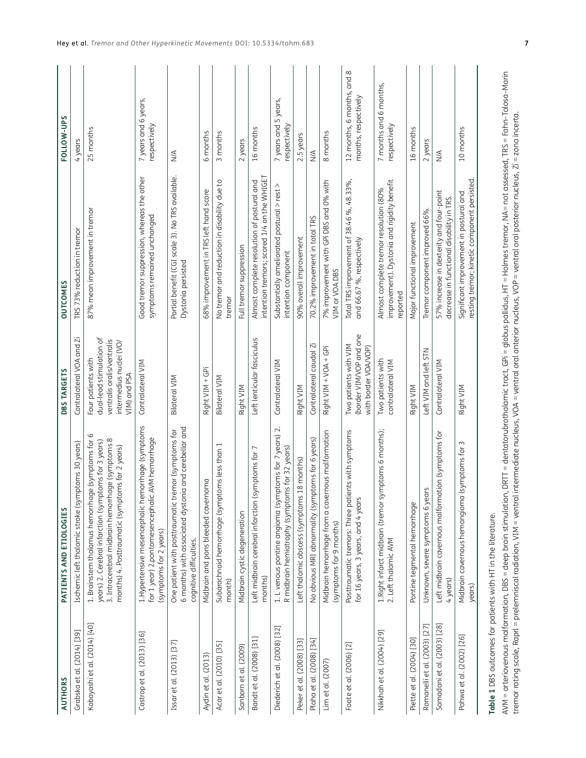| <b>AUTHORS</b>               | PATIENTS AND ETIOLOGIES                                                                                                                                                                                            | <b>DBS TARGETS</b>                                                                                                      | <b>OUTCOMES</b>                                                                                   | FOLLOW-UPS                                         |
|------------------------------|--------------------------------------------------------------------------------------------------------------------------------------------------------------------------------------------------------------------|-------------------------------------------------------------------------------------------------------------------------|---------------------------------------------------------------------------------------------------|----------------------------------------------------|
| Grabska et al. (2014) [39]   | Ischemic left thalamic stroke (symptoms 30 years)                                                                                                                                                                  | Contralateral VOA and Zi                                                                                                | TRS 73% reduction in tremor                                                                       | 4 years                                            |
| Kobayashi et al. (2014) [40] | (symptoms for 6<br>3. Intracerebral midbrain hemorrhage (symptoms 8<br>years) 2. Cerebral infarction (symptoms for 3 years)<br>months) 4. Posttraumatic (symptoms for 2 years)<br>1. Brainstem thalamus hemorrhage | dual-lead stimulation of<br>ventralis oralis/ventralis<br>intermedius nuclei (VO/<br>Four patients with<br>VIM) and PSA | 87% mean improvement in tremor                                                                    | 25 months                                          |
| Castrop et al. (2013) [36]   | orrhage (symptoms<br>for 1 year) 2.pontomesencephalic AVM hemorrhage<br>1. Hypertensive mesencephalic hem<br>(symptoms for 2 years)                                                                                | Contralateral VIM                                                                                                       | Good tremor suppression, whereas the other<br>symptoms remained unchanged                         | 7 years and 6 years,<br>respectively               |
| Issar et al. (2013) [37]     | and cerebellar and<br>One patient with posttraumatic tremor (symptoms for<br>6 months) with associated dystonia<br>cognitive difficulties.                                                                         | <b>Bilateral VIM</b>                                                                                                    | Partial benefit (CGI scale 3). No TRS available.<br>Dystonia persisted                            | $\frac{4}{2}$                                      |
| Aydin et al. (2013)          | Midbrain and pons bleeded cavernoma                                                                                                                                                                                | Right VIM + GPi                                                                                                         | 68% improvement in TRS left hand score                                                            | 6 months                                           |
| Acar et al. (2010) [35]      | Subarachnoid hemorrhage (symptoms less than 1<br>month)                                                                                                                                                            | <b>Bilateral VIM</b>                                                                                                    | No tremor and reduction in disability due to<br>tremor                                            | 3 months                                           |
| Sanborn et al. (2009)        | Midbrain cystic degeneration                                                                                                                                                                                       | Right VIM                                                                                                               | Full tremor suppression                                                                           | 2 years                                            |
| Bandt et al. (2008) [31]     | mptoms for<br>Left midbrain cerebral infarction (sy<br>months)                                                                                                                                                     | Left lenticular fasciculus                                                                                              | intention tremors; scored 1/4 on the WHIGET<br>Almost complete resolution of postural and         | 16 months                                          |
| Diederich et al. (2008) [32] | $\sim$<br>1. L venous pontine angioma (symptoms for 7 years)<br>R midbrain hemiatrophy (symptoms for 32 years)                                                                                                     | Contralateral VIM                                                                                                       | Substantially ameliorated postural > rest ><br>intention component                                | 7 years and 5 years,<br>respectively               |
| Peker et al. (2008) [33]     | Left thalamic abscess (symptoms 18 months)                                                                                                                                                                         | Right VIM                                                                                                               | 90% overall improvement                                                                           | 2.5 years                                          |
| Plaha et al. (2008) [34]     | No obvious MRI abnormality (symptoms for 6 years)                                                                                                                                                                  | Contralateral caudal Zi                                                                                                 | 70.2% improvement in total TRS                                                                    | $\stackrel{\triangle}{\geq}$                       |
| Lim et al. (2007)            | nous malformation<br>Midbrain hemorrhage from a cavern<br>(symptoms for 9 months)                                                                                                                                  | Right VIM + VOA + GPi                                                                                                   | 7% improvement with GPi DBS and 0% with<br>VIM or VOA DBS                                         | 8 months                                           |
| Foote et al. (2006) [2]      | its with symptoms<br>Posttraumatic tremors: Three patien<br>for 16 years, 3 years, and 4 years                                                                                                                     | (border VIM/VOP and one<br>Two patients with VIM<br>with border VOA/VOP)                                                | Total TRS improvement of 38.46 %, 48.33%,<br>and 66.67 %, respectively                            | 12 months, 6 months, and 8<br>months, respectively |
| Nikkhah et al. (2004) [29]   | iptoms 6 months);<br>1.Right infarct midbrain (tremor sym<br>2. Left thalamic AVM                                                                                                                                  | Two patients with<br>contralateral VIM                                                                                  | improvement). Dystonia and rigidity benefit<br>Almost complete tremor resolution (80%<br>reported | 7 months and 6 months,<br>respectively             |
| Piette et al. (2004) [30]    | Pontine tegmental hemorrhage                                                                                                                                                                                       | Right VIM                                                                                                               | Major functional improvement                                                                      | 16 months                                          |
| Romanelli et al. (2003) [27] | Unknown, severe symptoms 6 years                                                                                                                                                                                   | Left VIM and left STN                                                                                                   | Tremor component improved 66%.                                                                    | 2 years                                            |
| Samadani et al. (2003) [28]  | on (symptoms for<br>Left midbrain cavernous malformati<br>4 years)                                                                                                                                                 | Contralateral VIM                                                                                                       | 57% increase in dexterity and four-point<br>decrease in functional disability in TRS.             | $\stackrel{\triangle}{\geq}$                       |
| Pahwa et al. (2002) [26]     | Midbrain cavernous hemangioma (symptoms for 3<br>years)                                                                                                                                                            | Right VIM                                                                                                               | resting tremor; kinetic component persisted.<br>Significant improvement in postural and           | 10 months                                          |
|                              |                                                                                                                                                                                                                    |                                                                                                                         |                                                                                                   |                                                    |

Table 1 DBS outcomes for patients with HT in the literature. **Table 1** DBS outcomes for patients with HT in the literature.

AVM = arteriovenous malformation, DBS = deep brain stimulation, DRTT = dentatorubrothalamic tract, GPi = globus pallidus, HT = Holmes tremor, NA= not assessed, TRS = Fahn–Tolosa–Marin<br>tremor rating scale, Raprl = prelemnis AVM = arteriovenous malformation, DBS = deep brain stimulation, DRTT = dentatorubrothalamic tract, GPi = globus pallidus, HT = Holmes tremor, NA= not assessed, TRS = Fahn–Tolosa–Marin tremor rating scale, Raprl = prelemniscal radiation, VIM = ventral intermediate nucleus, VOA = ventral oral anterior nucleus, VOP = ventral oral posterior nucleus, Zi = zona incerta.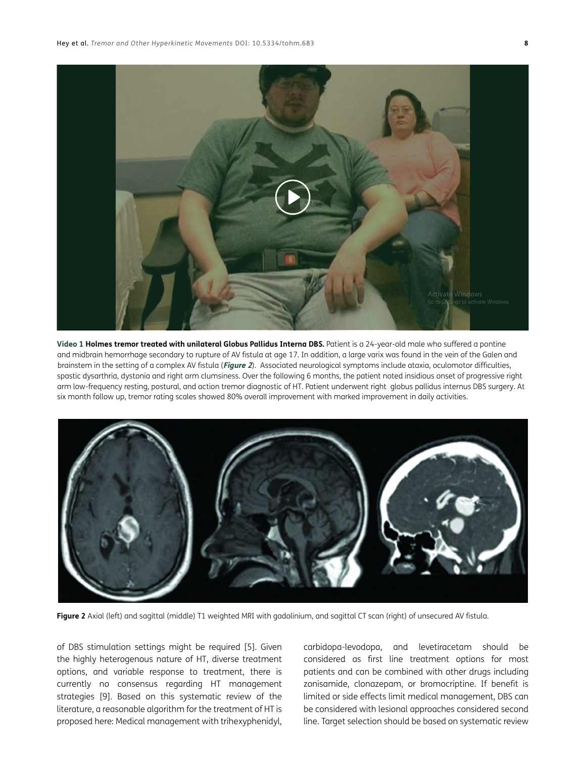

**Video 1 Holmes tremor treated with unilateral Globus Pallidus Interna DBS.** Patient is a 24-year-old male who suffered a pontine and midbrain hemorrhage secondary to rupture of AV fistula at age 17. In addition, a large varix was found in the vein of the Galen and brainstem in the setting of a complex AV fistula (**Figure 2**). Associated neurological symptoms include ataxia, oculomotor difficulties, spastic dysarthria, dystonia and right arm clumsiness. Over the following 6 months, the patient noted insidious onset of progressive right arm low-frequency resting, postural, and action tremor diagnostic of HT. Patient underwent right globus pallidus internus DBS surgery. At six month follow up, tremor rating scales showed 80% overall improvement with marked improvement in daily activities.



**Figure 2** Axial (left) and sagittal (middle) T1 weighted MRI with gadolinium, and sagittal CT scan (right) of unsecured AV fistula.

of DBS stimulation settings might be required [5]. Given the highly heterogenous nature of HT, diverse treatment options, and variable response to treatment, there is currently no consensus regarding HT management strategies [9]. Based on this systematic review of the literature, a reasonable algorithm for the treatment of HT is proposed here: Medical management with trihexyphenidyl,

carbidopa-levodopa, and levetiracetam should be considered as first line treatment options for most patients and can be combined with other drugs including zonisamide, clonazepam, or bromocriptine. If benefit is limited or side effects limit medical management, DBS can be considered with lesional approaches considered second line. Target selection should be based on systematic review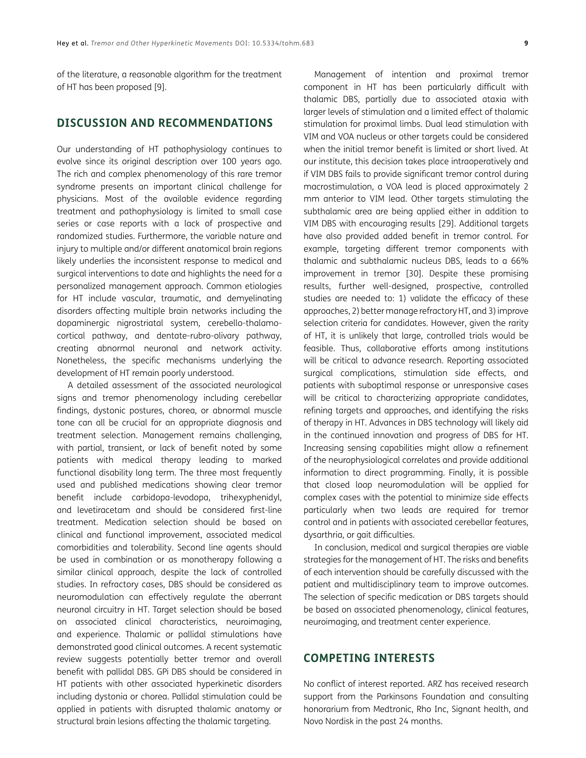of the literature, a reasonable algorithm for the treatment of HT has been proposed [9].

## **DISCUSSION AND RECOMMENDATIONS**

Our understanding of HT pathophysiology continues to evolve since its original description over 100 years ago. The rich and complex phenomenology of this rare tremor syndrome presents an important clinical challenge for physicians. Most of the available evidence regarding treatment and pathophysiology is limited to small case series or case reports with a lack of prospective and randomized studies. Furthermore, the variable nature and injury to multiple and/or different anatomical brain regions likely underlies the inconsistent response to medical and surgical interventions to date and highlights the need for a personalized management approach. Common etiologies for HT include vascular, traumatic, and demyelinating disorders affecting multiple brain networks including the dopaminergic nigrostriatal system, cerebello-thalamocortical pathway, and dentate-rubro-olivary pathway, creating abnormal neuronal and network activity. Nonetheless, the specific mechanisms underlying the development of HT remain poorly understood.

A detailed assessment of the associated neurological signs and tremor phenomenology including cerebellar findings, dystonic postures, chorea, or abnormal muscle tone can all be crucial for an appropriate diagnosis and treatment selection. Management remains challenging, with partial, transient, or lack of benefit noted by some patients with medical therapy leading to marked functional disability long term. The three most frequently used and published medications showing clear tremor benefit include carbidopa-levodopa, trihexyphenidyl, and levetiracetam and should be considered first-line treatment. Medication selection should be based on clinical and functional improvement, associated medical comorbidities and tolerability. Second line agents should be used in combination or as monotherapy following a similar clinical approach, despite the lack of controlled studies. In refractory cases, DBS should be considered as neuromodulation can effectively regulate the aberrant neuronal circuitry in HT. Target selection should be based on associated clinical characteristics, neuroimaging, and experience. Thalamic or pallidal stimulations have demonstrated good clinical outcomes. A recent systematic review suggests potentially better tremor and overall benefit with pallidal DBS. GPi DBS should be considered in HT patients with other associated hyperkinetic disorders including dystonia or chorea. Pallidal stimulation could be applied in patients with disrupted thalamic anatomy or structural brain lesions affecting the thalamic targeting.

Management of intention and proximal tremor component in HT has been particularly difficult with thalamic DBS, partially due to associated ataxia with larger levels of stimulation and a limited effect of thalamic stimulation for proximal limbs. Dual lead stimulation with VIM and VOA nucleus or other targets could be considered when the initial tremor benefit is limited or short lived. At our institute, this decision takes place intraoperatively and if VIM DBS fails to provide significant tremor control during macrostimulation, a VOA lead is placed approximately 2 mm anterior to VIM lead. Other targets stimulating the subthalamic area are being applied either in addition to VIM DBS with encouraging results [29]. Additional targets have also provided added benefit in tremor control. For example, targeting different tremor components with thalamic and subthalamic nucleus DBS, leads to a 66% improvement in tremor [\[30\]](#page-10-11). Despite these promising results, further well-designed, prospective, controlled studies are needed to: 1) validate the efficacy of these approaches, 2) better manage refractory HT, and 3) improve selection criteria for candidates. However, given the rarity of HT, it is unlikely that large, controlled trials would be feasible. Thus, collaborative efforts among institutions will be critical to advance research. Reporting associated surgical complications, stimulation side effects, and patients with suboptimal response or unresponsive cases will be critical to characterizing appropriate candidates, refining targets and approaches, and identifying the risks of therapy in HT. Advances in DBS technology will likely aid in the continued innovation and progress of DBS for HT. Increasing sensing capabilities might allow a refinement of the neurophysiological correlates and provide additional information to direct programming. Finally, it is possible that closed loop neuromodulation will be applied for complex cases with the potential to minimize side effects particularly when two leads are required for tremor control and in patients with associated cerebellar features, dysarthria, or gait difficulties.

In conclusion, medical and surgical therapies are viable strategies for the management of HT. The risks and benefits of each intervention should be carefully discussed with the patient and multidisciplinary team to improve outcomes. The selection of specific medication or DBS targets should be based on associated phenomenology, clinical features, neuroimaging, and treatment center experience.

## **COMPETING INTERESTS**

No conflict of interest reported. ARZ has received research support from the Parkinsons Foundation and consulting honorarium from Medtronic, Rho Inc, Signant health, and Novo Nordisk in the past 24 months.